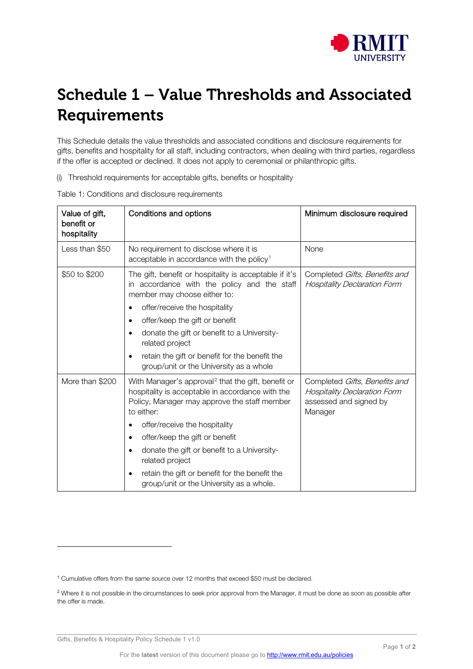

## Schedule 1 – Value Thresholds and Associated Requirements

This Schedule details the value thresholds and associated conditions and disclosure requirements for gifts, benefits and hospitality for all staff, including contractors, when dealing with third parties, regardless if the offer is accepted or declined. It does not apply to ceremonial or philanthropic gifts.

(i) Threshold requirements for acceptable gifts, benefits or hospitality

| Value of gift,<br>benefit or<br>hospitality | Conditions and options                                                                                                                                                                                                                                                                                                                                                                                              | Minimum disclosure required                                                                               |
|---------------------------------------------|---------------------------------------------------------------------------------------------------------------------------------------------------------------------------------------------------------------------------------------------------------------------------------------------------------------------------------------------------------------------------------------------------------------------|-----------------------------------------------------------------------------------------------------------|
| Less than \$50                              | No requirement to disclose where it is<br>acceptable in accordance with the policy <sup>1</sup>                                                                                                                                                                                                                                                                                                                     | None                                                                                                      |
| \$50 to \$200                               | The gift, benefit or hospitality is acceptable if it's<br>in accordance with the policy and the staff<br>member may choose either to:<br>offer/receive the hospitality<br>offer/keep the gift or benefit<br>٠<br>donate the gift or benefit to a University-<br>related project<br>retain the gift or benefit for the benefit the<br>group/unit or the University as a whole                                        | Completed Gifts, Benefits and<br><b>Hospitality Declaration Form</b>                                      |
| More than \$200                             | With Manager's approval <sup>2</sup> that the gift, benefit or<br>hospitality is acceptable in accordance with the<br>Policy, Manager may approve the staff member<br>to either:<br>offer/receive the hospitality<br>offer/keep the gift or benefit<br>donate the gift or benefit to a University-<br>related project<br>retain the gift or benefit for the benefit the<br>group/unit or the University as a whole. | Completed Gifts, Benefits and<br><b>Hospitality Declaration Form</b><br>assessed and signed by<br>Manager |

Table 1: Conditions and disclosure requirements

Gifts, Benefits & Hospitality Policy Schedule 1 v1.0

<span id="page-0-0"></span><sup>1</sup> Cumulative offers from the same source over 12 months that exceed \$50 must be declared.

<span id="page-0-1"></span><sup>&</sup>lt;sup>2</sup> Where it is not possible in the circumstances to seek prior approval from the Manager, it must be done as soon as possible after the offer is made.